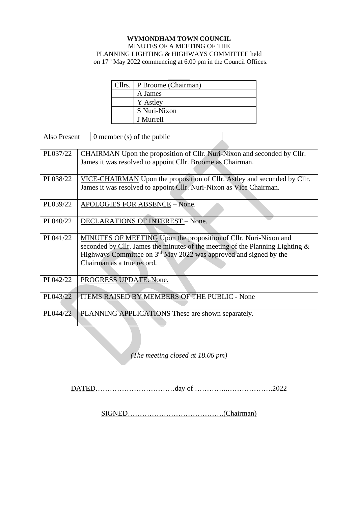## **WYMONDHAM TOWN COUNCIL** MINUTES OF A MEETING OF THE PLANNING LIGHTING & HIGHWAYS COMMITTEE held on 17<sup>th</sup> May 2022 commencing at 6.00 pm in the Council Offices.

| Cllrs.   P Broome (Chairman) |
|------------------------------|
| A James                      |
| Y Astley                     |
| S Nuri-Nixon                 |
| J Murrell                    |

Also Present  $\vert$  0 member (s) of the public

| PL037/22 | <b>CHAIRMAN</b> Upon the proposition of Cllr. Nuri-Nixon and seconded by Cllr.<br>James it was resolved to appoint Cllr. Broome as Chairman.                                                                                                             |
|----------|----------------------------------------------------------------------------------------------------------------------------------------------------------------------------------------------------------------------------------------------------------|
| PL038/22 | VICE-CHAIRMAN Upon the proposition of Cllr. Astley and seconded by Cllr.<br>James it was resolved to appoint Cllr. Nuri-Nixon as Vice Chairman.                                                                                                          |
| PL039/22 | APOLOGIES FOR ABSENCE - None.                                                                                                                                                                                                                            |
| PL040/22 | <b>DECLARATIONS OF INTEREST - None.</b>                                                                                                                                                                                                                  |
| PL041/22 | MINUTES OF MEETING Upon the proposition of Cllr. Nuri-Nixon and<br>seconded by Cllr. James the minutes of the meeting of the Planning Lighting $\&$<br>Highways Committee on $3rd$ May 2022 was approved and signed by the<br>Chairman as a true record. |
| PL042/22 | PROGRESS UPDATE: None.                                                                                                                                                                                                                                   |
| PL043/22 | ITEMS RAISED BY MEMBERS OF THE PUBLIC - None                                                                                                                                                                                                             |
| PL044/22 | PLANNING APPLICATIONS These are shown separately.                                                                                                                                                                                                        |

*(The meeting closed at 18.06 pm)*

DATED……………………………day of …………..……………….2022

SIGNED………………………………….(Chairman)